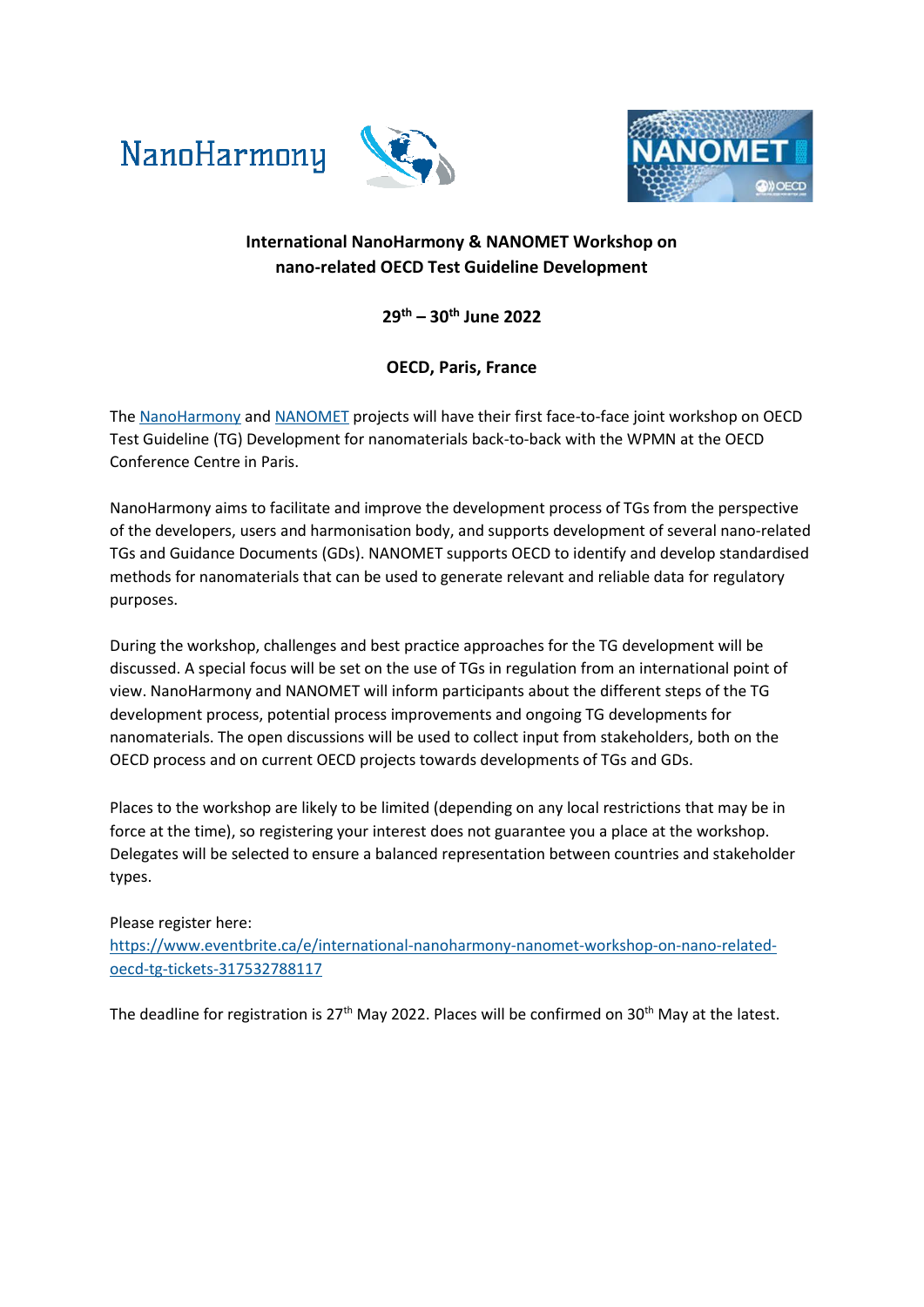NanoHarmony





## **International NanoHarmony & NANOMET Workshop on nano-related OECD Test Guideline Development**

**29th – 30th June 2022**

## **OECD, Paris, France**

The [NanoHarmony](https://nanoharmony.eu/) and [NANOMET](https://www.oecd.org/chemicalsafety/nanomet/) projects will have their first face-to-face joint workshop on OECD Test Guideline (TG) Development for nanomaterials back-to-back with the WPMN at the OECD Conference Centre in Paris.

NanoHarmony aims to facilitate and improve the development process of TGs from the perspective of the developers, users and harmonisation body, and supports development of several nano-related TGs and Guidance Documents (GDs). NANOMET supports OECD to identify and develop standardised methods for nanomaterials that can be used to generate relevant and reliable data for regulatory purposes.

During the workshop, challenges and best practice approaches for the TG development will be discussed. A special focus will be set on the use of TGs in regulation from an international point of view. NanoHarmony and NANOMET will inform participants about the different steps of the TG development process, potential process improvements and ongoing TG developments for nanomaterials. The open discussions will be used to collect input from stakeholders, both on the OECD process and on current OECD projects towards developments of TGs and GDs.

Places to the workshop are likely to be limited (depending on any local restrictions that may be in force at the time), so registering your interest does not guarantee you a place at the workshop. Delegates will be selected to ensure a balanced representation between countries and stakeholder types.

### Please register here:

[https://www.eventbrite.ca/e/international-nanoharmony-nanomet-workshop-on-nano-related](https://www.eventbrite.ca/e/international-nanoharmony-nanomet-workshop-on-nano-related-oecd-tg-tickets-317532788117)[oecd-tg-tickets-317532788117](https://www.eventbrite.ca/e/international-nanoharmony-nanomet-workshop-on-nano-related-oecd-tg-tickets-317532788117)

The deadline for registration is  $27<sup>th</sup>$  May 2022. Places will be confirmed on  $30<sup>th</sup>$  May at the latest.